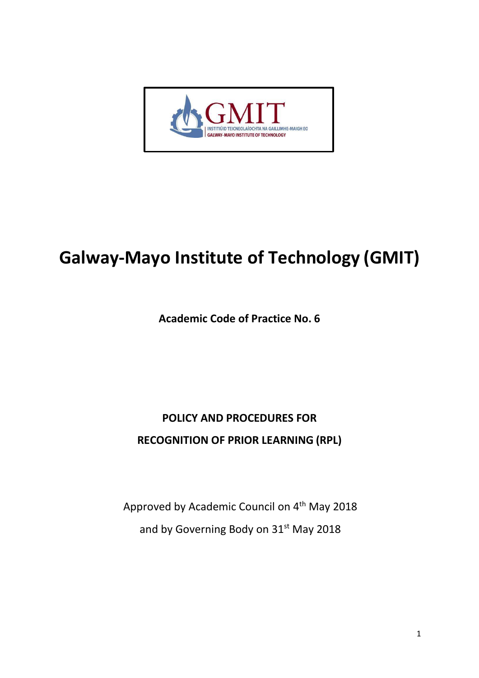

# **Galway-Mayo Institute of Technology (GMIT)**

**Academic Code of Practice No. 6**

## **POLICY AND PROCEDURES FOR RECOGNITION OF PRIOR LEARNING (RPL)**

Approved by Academic Council on 4<sup>th</sup> May 2018 and by Governing Body on 31<sup>st</sup> May 2018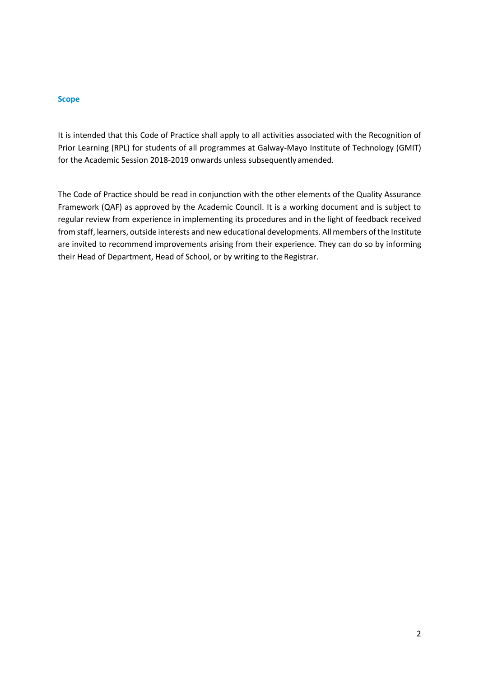#### **Scope**

It is intended that this Code of Practice shall apply to all activities associated with the Recognition of Prior Learning (RPL) for students of all programmes at Galway-Mayo Institute of Technology (GMIT) for the Academic Session 2018-2019 onwards unless subsequently amended.

The Code of Practice should be read in conjunction with the other elements of the Quality Assurance Framework (QAF) as approved by the Academic Council. It is a working document and is subject to regular review from experience in implementing its procedures and in the light of feedback received from staff, learners, outside interests and new educational developments. Allmembers ofthe Institute are invited to recommend improvements arising from their experience. They can do so by informing their Head of Department, Head of School, or by writing to the Registrar.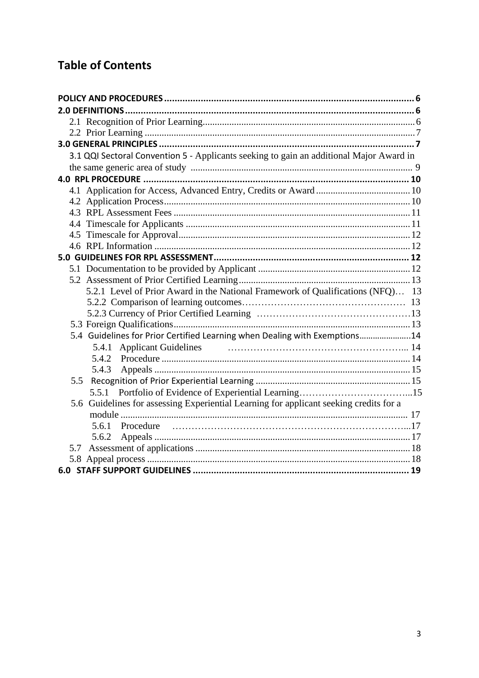## **Table of Contents**

| 3.1 QQI Sectoral Convention 5 - Applicants seeking to gain an additional Major Award in |  |
|-----------------------------------------------------------------------------------------|--|
|                                                                                         |  |
|                                                                                         |  |
|                                                                                         |  |
|                                                                                         |  |
|                                                                                         |  |
|                                                                                         |  |
|                                                                                         |  |
|                                                                                         |  |
|                                                                                         |  |
|                                                                                         |  |
|                                                                                         |  |
| 5.2.1 Level of Prior Award in the National Framework of Qualifications (NFQ) 13         |  |
|                                                                                         |  |
|                                                                                         |  |
|                                                                                         |  |
| 5.4 Guidelines for Prior Certified Learning when Dealing with Exemptions14              |  |
|                                                                                         |  |
|                                                                                         |  |
| 5.4.3                                                                                   |  |
| 5.5                                                                                     |  |
|                                                                                         |  |
| 5.6 Guidelines for assessing Experiential Learning for applicant seeking credits for a  |  |
|                                                                                         |  |
|                                                                                         |  |
| 5.6.2                                                                                   |  |
| 5.7                                                                                     |  |
|                                                                                         |  |
|                                                                                         |  |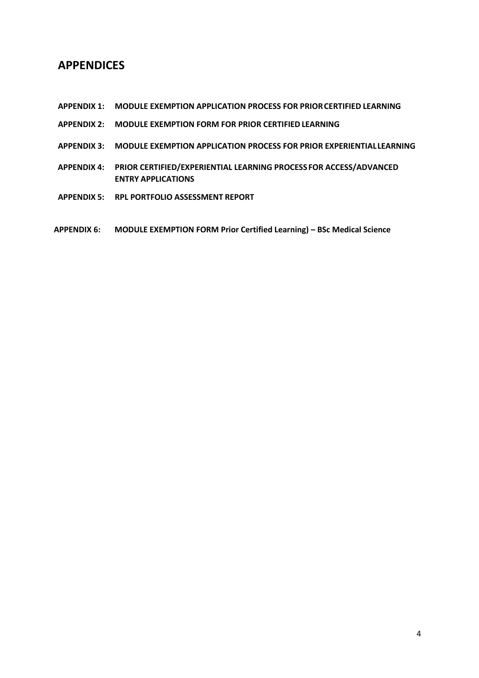## **APPENDICES**

- **APPENDIX 1: MODULE EXEMPTION APPLICATION PROCESS FOR PRIORCERTIFIED LEARNING**
- **APPENDIX 2: MODULE EXEMPTION FORM FOR PRIOR CERTIFIED LEARNING**
- **APPENDIX 3: MODULE EXEMPTION APPLICATION PROCESS FOR PRIOR EXPERIENTIAL LEARNING**
- **APPENDIX 4: PRIOR CERTIFIED/EXPERIENTIAL LEARNING PROCESS FOR ACCESS/ADVANCED ENTRY APPLICATIONS**
- **APPENDIX 5: RPL PORTFOLIO ASSESSMENT REPORT**
- **APPENDIX 6: MODULE EXEMPTION FORM Prior Certified Learning) – BSc Medical Science**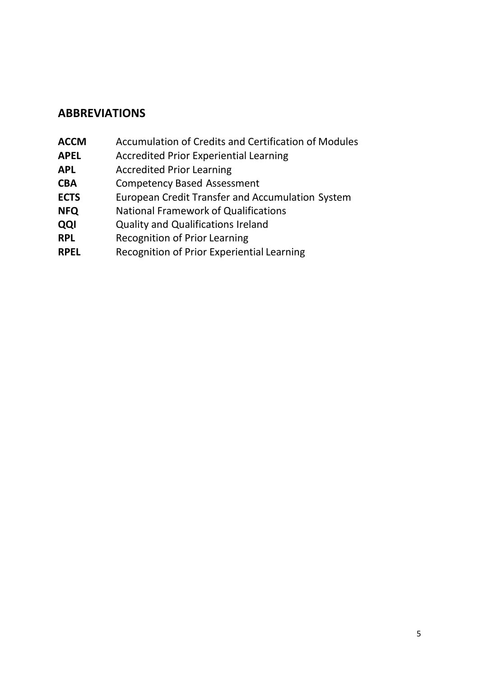## **ABBREVIATIONS**

- **ACCM** Accumulation of Credits and Certification of Modules
- **APEL** Accredited Prior Experiential Learning
- **APL** Accredited Prior Learning
- **CBA** Competency Based Assessment
- **ECTS** European Credit Transfer and Accumulation System<br> **NFQ** National Framework of Qualifications
- **National Framework of Qualifications**
- **QQI** Quality and Qualifications Ireland
- **RPL** Recognition of Prior Learning
- **RPEL** Recognition of Prior Experiential Learning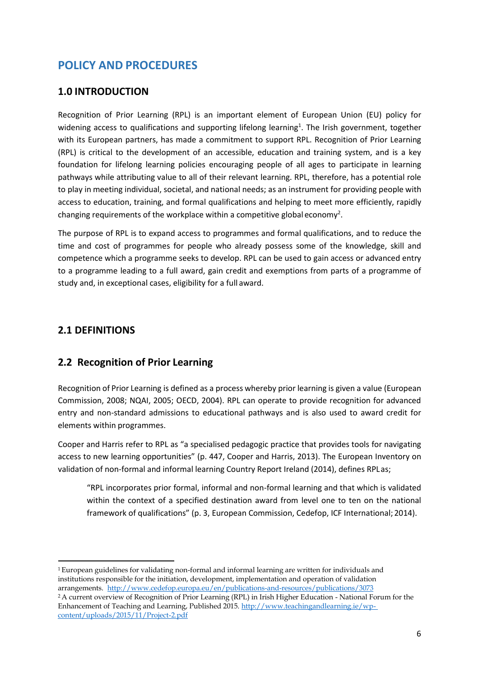## <span id="page-5-0"></span>**POLICY AND PROCEDURES**

#### **1.0 INTRODUCTION**

Recognition of Prior Learning (RPL) is an important element of European Union (EU) policy for widening access to qualifications and supporting lifelong learning<sup>1</sup>. The Irish government, together with its European partners, has made a commitment to support RPL. Recognition of Prior Learning (RPL) is critical to the development of an accessible, education and training system, and is a key foundation for lifelong learning policies encouraging people of all ages to participate in learning pathways while attributing value to all of their relevant learning. RPL, therefore, has a potential role to play in meeting individual, societal, and national needs; as an instrument for providing people with access to education, training, and formal qualifications and helping to meet more efficiently, rapidly changing requirements of the workplace within a competitive global economy<sup>2</sup>.

The purpose of RPL is to expand access to programmes and formal qualifications, and to reduce the time and cost of programmes for people who already possess some of the knowledge, skill and competence which a programme seeks to develop. RPL can be used to gain access or advanced entry to a programme leading to a full award, gain credit and exemptions from parts of a programme of study and, in exceptional cases, eligibility for a full award.

#### <span id="page-5-1"></span>**2.1 DEFINITIONS**

## <span id="page-5-2"></span>**2.2 Recognition of Prior Learning**

Recognition of Prior Learning is defined as a process whereby prior learning is given a value (European Commission, 2008; NQAI, 2005; OECD, 2004). RPL can operate to provide recognition for advanced entry and non-standard admissions to educational pathways and is also used to award credit for elements within programmes.

Cooper and Harris refer to RPL as "a specialised pedagogic practice that provides tools for navigating access to new learning opportunities" (p. 447, Cooper and Harris, 2013). The European Inventory on validation of non-formal and informal learning Country Report Ireland (2014), defines RPLas;

"RPL incorporates prior formal, informal and non-formal learning and that which is validated within the context of a specified destination award from level one to ten on the national framework of qualifications" (p. 3, European Commission, Cedefop, ICF International; 2014).

<sup>1</sup>European guidelines for validating non-formal and informal learning are written for individuals and institutions responsible for the initiation, development, implementation and operation of validation arrangements. <http://www.cedefop.europa.eu/en/publications-and-resources/publications/3073> <sup>2</sup>A current overview of Recognition of Prior Learning (RPL) in Irish Higher Education - National Forum for the Enhancement of Teaching and Learning, Published 2015. [http://www.teachingandlearning.ie/wp](http://www.teachingandlearning.ie/wp-content/uploads/2015/11/Project-2.pdf)[content/uploads/2015/11/Project-2.pdf](http://www.teachingandlearning.ie/wp-content/uploads/2015/11/Project-2.pdf)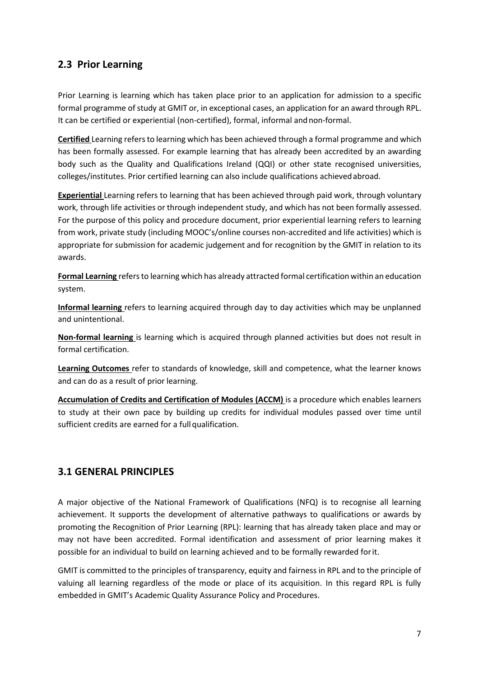## <span id="page-6-0"></span>**2.3 Prior Learning**

Prior Learning is learning which has taken place prior to an application for admission to a specific formal programme of study at GMIT or, in exceptional cases, an application for an award through RPL. It can be certified or experiential (non-certified), formal, informal and non-formal.

**Certified** Learning refersto learning which has been achieved through a formal programme and which has been formally assessed. For example learning that has already been accredited by an awarding body such as the Quality and Qualifications Ireland (QQI) or other state recognised universities, colleges/institutes. Prior certified learning can also include qualifications achievedabroad.

**Experiential** Learning refers to learning that has been achieved through paid work, through voluntary work, through life activities or through independent study, and which has not been formally assessed. For the purpose of this policy and procedure document, prior experiential learning refers to learning from work, private study (including MOOC's/online courses non-accredited and life activities) which is appropriate for submission for academic judgement and for recognition by the GMIT in relation to its awards.

**Formal Learning** refersto learning which has already attracted formal certification within an education system.

**Informal learning** refers to learning acquired through day to day activities which may be unplanned and unintentional.

**Non-formal learning** is learning which is acquired through planned activities but does not result in formal certification.

**Learning Outcomes** refer to standards of knowledge, skill and competence, what the learner knows and can do as a result of prior learning.

**Accumulation of Credits and Certification of Modules (ACCM)** is a procedure which enables learners to study at their own pace by building up credits for individual modules passed over time until sufficient credits are earned for a full qualification.

## <span id="page-6-1"></span>**3.1 GENERAL PRINCIPLES**

A major objective of the National Framework of Qualifications (NFQ) is to recognise all learning achievement. It supports the development of alternative pathways to qualifications or awards by promoting the Recognition of Prior Learning (RPL): learning that has already taken place and may or may not have been accredited. Formal identification and assessment of prior learning makes it possible for an individual to build on learning achieved and to be formally rewarded forit.

GMIT is committed to the principles of transparency, equity and fairness in RPL and to the principle of valuing all learning regardless of the mode or place of its acquisition. In this regard RPL is fully embedded in GMIT's Academic Quality Assurance Policy and Procedures.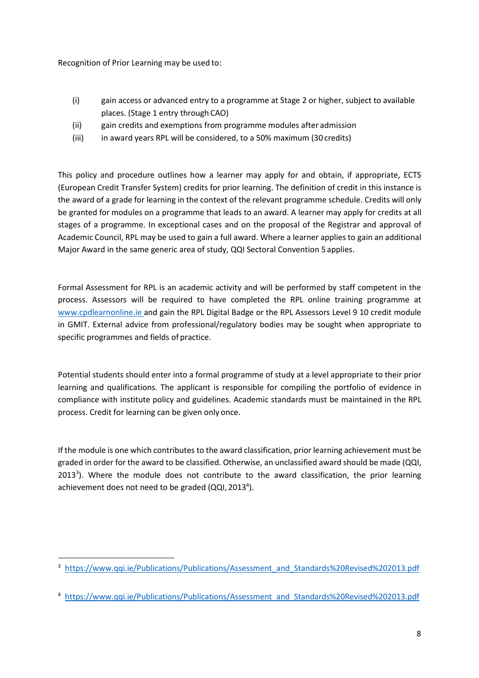Recognition of Prior Learning may be used to:

- (i) gain access or advanced entry to a programme at Stage 2 or higher, subject to available places. (Stage 1 entry through CAO)
- (ii) gain credits and exemptions from programme modules after admission
- (iii) in award years RPL will be considered, to a 50% maximum (30 credits)

This policy and procedure outlines how a learner may apply for and obtain, if appropriate, ECTS (European Credit Transfer System) credits for prior learning. The definition of credit in this instance is the award of a grade for learning in the context of the relevant programme schedule. Credits will only be granted for modules on a programme that leads to an award. A learner may apply for credits at all stages of a programme. In exceptional cases and on the proposal of the Registrar and approval of Academic Council, RPL may be used to gain a full award. Where a learner applies to gain an additional Major Award in the same generic area of study, QQI Sectoral Convention 5 applies.

Formal Assessment for RPL is an academic activity and will be performed by staff competent in the process. Assessors will be required to have completed the RPL online training programme at [www.cpdlearnonline.ie a](http://www.cpdlearnonline.ie/)nd gain the RPL Digital Badge or the RPL Assessors Level 9 10 credit module in GMIT. External advice from professional/regulatory bodies may be sought when appropriate to specific programmes and fields of practice.

Potential students should enter into a formal programme of study at a level appropriate to their prior learning and qualifications. The applicant is responsible for compiling the portfolio of evidence in compliance with institute policy and guidelines. Academic standards must be maintained in the RPL process. Credit for learning can be given only once.

If the module is one which contributes to the award classification, prior learning achievement must be graded in order for the award to be classified. Otherwise, an unclassified award should be made (QQI, 2013<sup>3</sup>). Where the module does not contribute to the award classification, the prior learning achievement does not need to be graded (QQI, 2013<sup>4</sup>).

<sup>&</sup>lt;sup>3</sup> [https://www.qqi.ie/Publications/Publications/Assessment\\_and\\_Standards%20Revised%202013.pdf](https://www.qqi.ie/Publications/Publications/Assessment_and_Standards%20Revised%202013.pdf)

<sup>&</sup>lt;sup>4</sup> [https://www.qqi.ie/Publications/Publications/Assessment\\_and\\_Standards%20Revised%202013.pdf](https://www.qqi.ie/Publications/Publications/Assessment_and_Standards%20Revised%202013.pdf)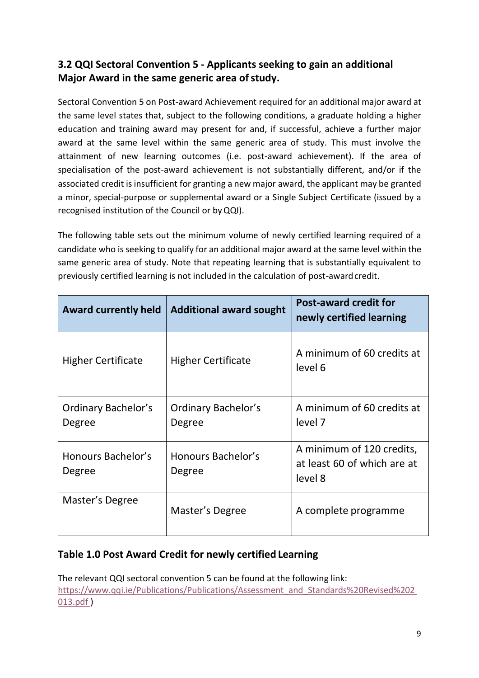## <span id="page-8-0"></span>**3.2 QQI Sectoral Convention 5 - Applicants seeking to gain an additional**  Major Award in the same generic area of study.

Sectoral Convention 5 on Post-award Achievement required for an additional major award at the same level states that, subject to the following conditions, a graduate holding a higher education and training award may present for and, if successful, achieve a further major award at the same level within the same generic area of study. This must involve the attainment of new learning outcomes (i.e. post-award achievement). If the area of specialisation of the post-award achievement is not substantially different, and/or if the associated credit is insufficient for granting a new major award, the applicant may be granted a minor, special-purpose or supplemental award or a Single Subject Certificate (issued by a recognised institution of the Council or byQQI).

The following table sets out the minimum volume of newly certified learning required of a candidate who is seeking to qualify for an additional major award at the same level within the same generic area of study. Note that repeating learning that is substantially equivalent to previously certified learning is not included in the calculation of post-award credit.

| <b>Award currently held</b>   | <b>Additional award sought</b>       | <b>Post-award credit for</b><br>newly certified learning            |
|-------------------------------|--------------------------------------|---------------------------------------------------------------------|
| <b>Higher Certificate</b>     | <b>Higher Certificate</b>            | A minimum of 60 credits at<br>level 6                               |
| Ordinary Bachelor's<br>Degree | <b>Ordinary Bachelor's</b><br>Degree | A minimum of 60 credits at<br>level 7                               |
| Honours Bachelor's<br>Degree  | Honours Bachelor's<br>Degree         | A minimum of 120 credits,<br>at least 60 of which are at<br>level 8 |
| Master's Degree               | Master's Degree                      | A complete programme                                                |

## **Table 1.0 Post Award Credit for newly certified Learning**

The relevant QQI sectoral convention 5 can be found at the following link: [https://www.qqi.ie/Publications/Publications/Assessment\\_and\\_Standards%20Revised%202](https://www.qqi.ie/Publications/Publications/Assessment_and_Standards%20Revised%202013.pdf) [013.pdf](https://www.qqi.ie/Publications/Publications/Assessment_and_Standards%20Revised%202013.pdf) )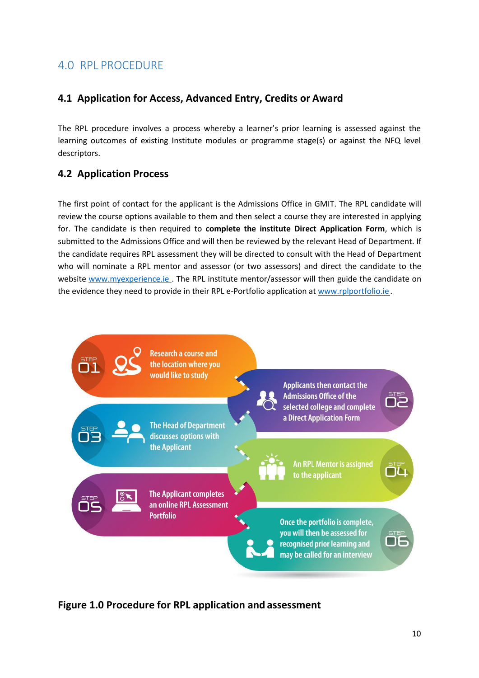## <span id="page-9-0"></span>4.0 RPL PROCEDURE

## <span id="page-9-1"></span>**4.1 Application for Access, Advanced Entry, Credits or Award**

The RPL procedure involves a process whereby a learner's prior learning is assessed against the learning outcomes of existing Institute modules or programme stage(s) or against the NFQ level descriptors.

## <span id="page-9-2"></span>**4.2 Application Process**

The first point of contact for the applicant is the Admissions Office in GMIT. The RPL candidate will review the course options available to them and then select a course they are interested in applying for. The candidate is then required to **complete the institute Direct Application Form**, which is submitted to the Admissions Office and will then be reviewed by the relevant Head of Department. If the candidate requires RPL assessment they will be directed to consult with the Head of Department who will nominate a RPL mentor and assessor (or two assessors) and direct the candidate to the website [www.myexperience.ie .](http://www.myexperience.ie/) The RPL institute mentor/assessor will then guide the candidate on the evidence they need to provide in their RPL e-Portfolio application at [www.rplportfolio.ie](http://www.rplportfolio.ie/).



**Figure 1.0 Procedure for RPL application and assessment**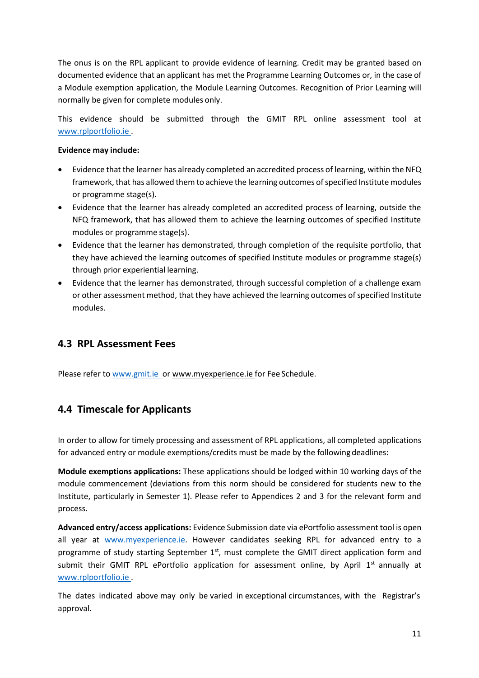The onus is on the RPL applicant to provide evidence of learning. Credit may be granted based on documented evidence that an applicant has met the Programme Learning Outcomes or, in the case of a Module exemption application, the Module Learning Outcomes. Recognition of Prior Learning will normally be given for complete modules only.

This evidence should be submitted through the GMIT RPL online assessment tool at [www.rplportfolio.ie](http://www.rplportfolio.ie/) .

#### **Evidence may include:**

- Evidence that the learner has already completed an accredited process of learning, within the NFQ framework, that has allowed them to achieve the learning outcomes of specified Institute modules or programme stage(s).
- Evidence that the learner has already completed an accredited process of learning, outside the NFQ framework, that has allowed them to achieve the learning outcomes of specified Institute modules or programme stage(s).
- Evidence that the learner has demonstrated, through completion of the requisite portfolio, that they have achieved the learning outcomes of specified Institute modules or programme stage(s) through prior experiential learning.
- Evidence that the learner has demonstrated, through successful completion of a challenge exam or other assessment method, that they have achieved the learning outcomes of specified Institute modules.

## <span id="page-10-0"></span>**4.3 RPL Assessment Fees**

Please refer to www.gmit.ie\_or [www.myexperience.ie f](http://www.myexperience.ie/)or Fee Schedule.

## <span id="page-10-1"></span>**4.4 Timescale for Applicants**

In order to allow for timely processing and assessment of RPL applications, all completed applications for advanced entry or module exemptions/credits must be made by the followingdeadlines:

**Module exemptions applications:** These applicationsshould be lodged within 10 working days of the module commencement (deviations from this norm should be considered for students new to the Institute, particularly in Semester 1). Please refer to Appendices 2 and 3 for the relevant form and process.

**Advanced entry/access applications:** Evidence Submission date via ePortfolio assessment tool is open all year at **WWW.myexperience.ie**. However candidates seeking RPL for advanced entry to a programme of study starting September 1<sup>st</sup>, must complete the GMIT direct application form and submit their GMIT RPL ePortfolio application for assessment online, by April  $1<sup>st</sup>$  annually at [www.rplportfolio.ie](http://www.rplportfolio.ie/) .

The dates indicated above may only be varied in exceptional circumstances, with the Registrar's approval.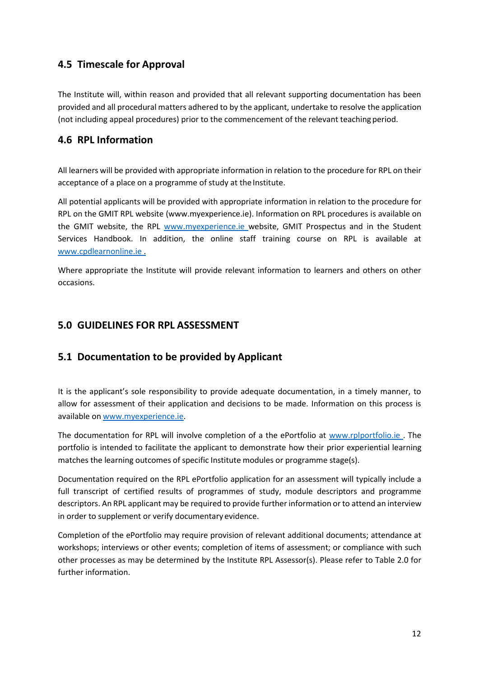## <span id="page-11-0"></span>**4.5 Timescale for Approval**

The Institute will, within reason and provided that all relevant supporting documentation has been provided and all procedural matters adhered to by the applicant, undertake to resolve the application (not including appeal procedures) prior to the commencement of the relevant teaching period.

## <span id="page-11-1"></span>**4.6 RPL Information**

All learners will be provided with appropriate information in relation to the procedure for RPL on their acceptance of a place on a programme of study at the Institute.

All potential applicants will be provided with appropriate information in relation to the procedure for RPL on the GMIT RPL website (www.myexperience.ie). Information on RPL procedures is available on the GMIT website, the RPL [www.myexperience.ie w](http://www.myexperience.ie/)ebsite, GMIT Prospectus and in the Student Services Handbook. In addition, the online staff training course on RPL is available at [www.cpdlearnonline.ie](http://www.cpdlearnonline.ie/) .

Where appropriate the Institute will provide relevant information to learners and others on other occasions.

## <span id="page-11-2"></span>**5.0 GUIDELINES FOR RPL ASSESSMENT**

## <span id="page-11-3"></span>**5.1 Documentation to be provided by Applicant**

It is the applicant's sole responsibility to provide adequate documentation, in a timely manner, to allow for assessment of their application and decisions to be made. Information on this process is available on [www.myexperience.ie.](http://www.myexperience.ie/)

The documentation for RPL will involve completion of a the ePortfolio at www.rplportfolio.ie. The portfolio is intended to facilitate the applicant to demonstrate how their prior experiential learning matches the learning outcomes of specific Institute modules or programme stage(s).

Documentation required on the RPL ePortfolio application for an assessment will typically include a full transcript of certified results of programmes of study, module descriptors and programme descriptors. An RPL applicant may be required to provide furtherinformation orto attend an interview in order to supplement or verify documentary evidence.

Completion of the ePortfolio may require provision of relevant additional documents; attendance at workshops; interviews or other events; completion of items of assessment; or compliance with such other processes as may be determined by the Institute RPL Assessor(s). Please refer to Table 2.0 for further information.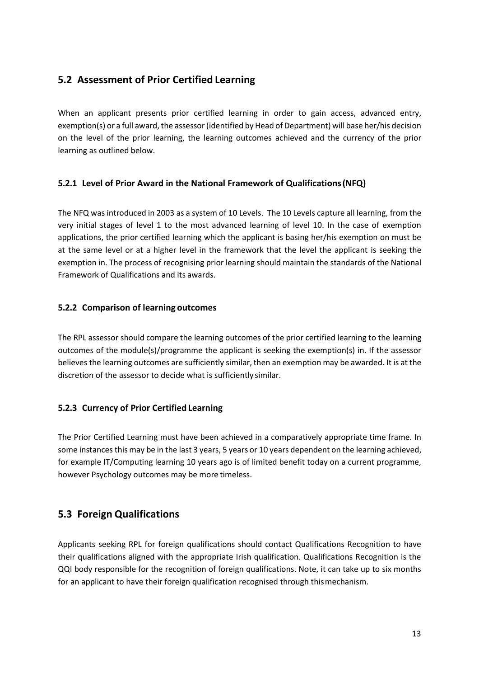## <span id="page-12-0"></span>**5.2 Assessment of Prior Certified Learning**

When an applicant presents prior certified learning in order to gain access, advanced entry, exemption(s) or a full award, the assessor (identified by Head of Department) will base her/his decision on the level of the prior learning, the learning outcomes achieved and the currency of the prior learning as outlined below.

#### <span id="page-12-1"></span>**5.2.1 Level of Prior Award in the National Framework of Qualifications(NFQ)**

The NFQ was introduced in 2003 as a system of 10 Levels. The 10 Levels capture all learning, from the very initial stages of level 1 to the most advanced learning of level 10. In the case of exemption applications, the prior certified learning which the applicant is basing her/his exemption on must be at the same level or at a higher level in the framework that the level the applicant is seeking the exemption in. The process of recognising prior learning should maintain the standards of the National Framework of Qualifications and its awards.

#### <span id="page-12-2"></span>**5.2.2 Comparison of learning outcomes**

The RPL assessor should compare the learning outcomes of the prior certified learning to the learning outcomes of the module(s)/programme the applicant is seeking the exemption(s) in. If the assessor believes the learning outcomes are sufficiently similar, then an exemption may be awarded. It is at the discretion of the assessor to decide what is sufficiently similar.

#### <span id="page-12-3"></span>**5.2.3 Currency of Prior Certified Learning**

The Prior Certified Learning must have been achieved in a comparatively appropriate time frame. In some instances this may be in the last 3 years, 5 years or 10 years dependent on the learning achieved, for example IT/Computing learning 10 years ago is of limited benefit today on a current programme, however Psychology outcomes may be more timeless.

## <span id="page-12-4"></span>**5.3 Foreign Qualifications**

Applicants seeking RPL for foreign qualifications should contact Qualifications Recognition to have their qualifications aligned with the appropriate Irish qualification. Qualifications Recognition is the QQI body responsible for the recognition of foreign qualifications. Note, it can take up to six months for an applicant to have their foreign qualification recognised through thismechanism.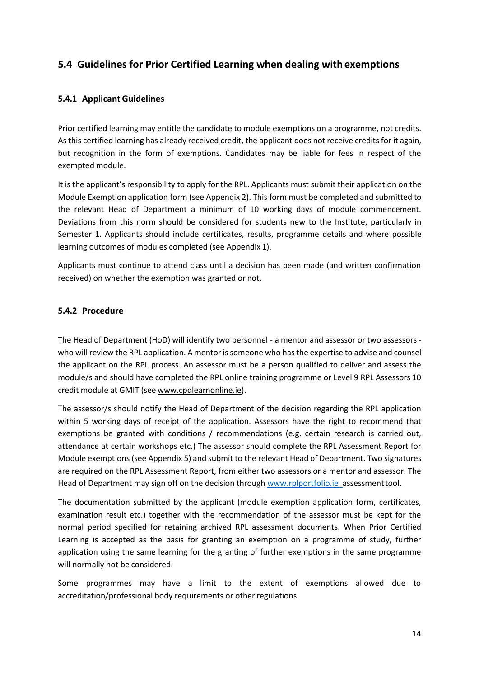## **5.4 Guidelines for Prior Certified Learning when dealing withexemptions**

#### <span id="page-13-0"></span>**5.4.1 Applicant Guidelines**

Prior certified learning may entitle the candidate to module exemptions on a programme, not credits. As this certified learning has already received credit, the applicant does not receive credits for it again, but recognition in the form of exemptions. Candidates may be liable for fees in respect of the exempted module.

It is the applicant's responsibility to apply for the RPL. Applicants must submit their application on the Module Exemption application form (see Appendix 2). This form must be completed and submitted to the relevant Head of Department a minimum of 10 working days of module commencement. Deviations from this norm should be considered for students new to the Institute, particularly in Semester 1. Applicants should include certificates, results, programme details and where possible learning outcomes of modules completed (see Appendix 1).

Applicants must continue to attend class until a decision has been made (and written confirmation received) on whether the exemption was granted or not.

#### <span id="page-13-1"></span>**5.4.2 Procedure**

The Head of Department (HoD) will identify two personnel - a mentor and assessor or two assessors who will review the RPL application. A mentor is someone who has the expertise to advise and counsel the applicant on the RPL process. An assessor must be a person qualified to deliver and assess the module/s and should have completed the RPL online training programme or Level 9 RPL Assessors 10 credit module at GMIT (see [www.cpdlearnonline.ie\)](http://www.cpdlearnonline.ie/).

The assessor/s should notify the Head of Department of the decision regarding the RPL application within 5 working days of receipt of the application. Assessors have the right to recommend that exemptions be granted with conditions / recommendations (e.g. certain research is carried out, attendance at certain workshops etc.) The assessor should complete the RPL Assessment Report for Module exemptions (see Appendix 5) and submit to the relevant Head of Department. Two signatures are required on the RPL Assessment Report, from either two assessors or a mentor and assessor. The Head of Department may sign off on the decision through [www.rplportfolio.ie a](http://www.rplportfolio.ie/)ssessmenttool.

The documentation submitted by the applicant (module exemption application form, certificates, examination result etc.) together with the recommendation of the assessor must be kept for the normal period specified for retaining archived RPL assessment documents. When Prior Certified Learning is accepted as the basis for granting an exemption on a programme of study, further application using the same learning for the granting of further exemptions in the same programme will normally not be considered.

Some programmes may have a limit to the extent of exemptions allowed due to accreditation/professional body requirements or other regulations.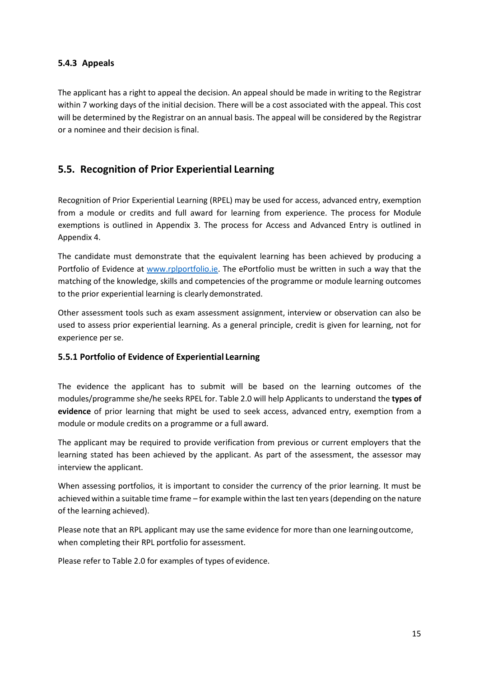#### <span id="page-14-0"></span>**5.4.3 Appeals**

The applicant has a right to appeal the decision. An appeal should be made in writing to the Registrar within 7 working days of the initial decision. There will be a cost associated with the appeal. This cost will be determined by the Registrar on an annual basis. The appeal will be considered by the Registrar or a nominee and their decision isfinal.

## <span id="page-14-1"></span>**5.5. Recognition of Prior Experiential Learning**

Recognition of Prior Experiential Learning (RPEL) may be used for access, advanced entry, exemption from a module or credits and full award for learning from experience. The process for Module exemptions is outlined in Appendix 3. The process for Access and Advanced Entry is outlined in Appendix 4.

The candidate must demonstrate that the equivalent learning has been achieved by producing a Portfolio of Evidence at [www.rplportfolio.ie.](http://www.rplportfolio.ie/) The ePortfolio must be written in such a way that the matching of the knowledge, skills and competencies of the programme or module learning outcomes to the prior experiential learning is clearly demonstrated.

Other assessment tools such as exam assessment assignment, interview or observation can also be used to assess prior experiential learning. As a general principle, credit is given for learning, not for experience per se.

#### **5.5.1 Portfolio of Evidence of Experiential Learning**

The evidence the applicant has to submit will be based on the learning outcomes of the modules/programme she/he seeks RPEL for. Table 2.0 will help Applicants to understand the **types of evidence** of prior learning that might be used to seek access, advanced entry, exemption from a module or module credits on a programme or a full award.

The applicant may be required to provide verification from previous or current employers that the learning stated has been achieved by the applicant. As part of the assessment, the assessor may interview the applicant.

When assessing portfolios, it is important to consider the currency of the prior learning. It must be achieved within a suitable time frame – for example within the last ten years(depending on the nature of the learning achieved).

Please note that an RPL applicant may use the same evidence for more than one learningoutcome, when completing their RPL portfolio for assessment.

Please refer to Table 2.0 for examples of types of evidence.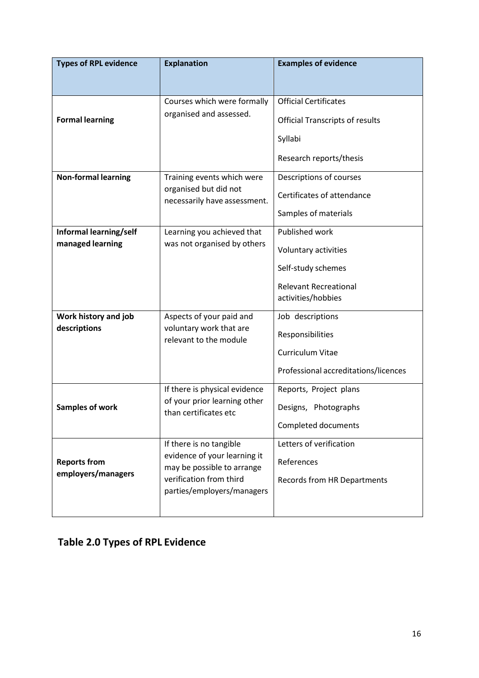| <b>Types of RPL evidence</b>               | <b>Explanation</b>                                                                                                                             | <b>Examples of evidence</b>                                                                                        |  |
|--------------------------------------------|------------------------------------------------------------------------------------------------------------------------------------------------|--------------------------------------------------------------------------------------------------------------------|--|
| <b>Formal learning</b>                     | Courses which were formally<br>organised and assessed.                                                                                         | <b>Official Certificates</b><br><b>Official Transcripts of results</b><br>Syllabi<br>Research reports/thesis       |  |
| <b>Non-formal learning</b>                 | Training events which were<br>organised but did not<br>necessarily have assessment.                                                            | Descriptions of courses<br>Certificates of attendance<br>Samples of materials                                      |  |
| Informal learning/self<br>managed learning | Learning you achieved that<br>was not organised by others                                                                                      | Published work<br>Voluntary activities<br>Self-study schemes<br><b>Relevant Recreational</b><br>activities/hobbies |  |
| Work history and job<br>descriptions       | Aspects of your paid and<br>voluntary work that are<br>relevant to the module                                                                  | Job descriptions<br>Responsibilities<br><b>Curriculum Vitae</b><br>Professional accreditations/licences            |  |
| Samples of work                            | If there is physical evidence<br>of your prior learning other<br>than certificates etc                                                         | Reports, Project plans<br>Designs, Photographs<br>Completed documents                                              |  |
| <b>Reports from</b><br>employers/managers  | If there is no tangible<br>evidence of your learning it<br>may be possible to arrange<br>verification from third<br>parties/employers/managers | Letters of verification<br>References<br><b>Records from HR Departments</b>                                        |  |

## **Table 2.0 Types of RPL Evidence**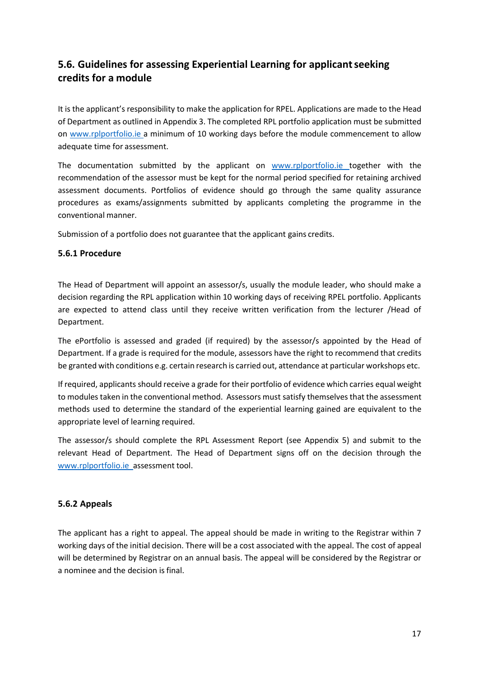## <span id="page-16-0"></span>**5.6. Guidelines for assessing Experiential Learning for applicantseeking credits for a module**

It is the applicant's responsibility to make the application for RPEL. Applications are made to the Head of Department as outlined in Appendix 3. The completed RPL portfolio application must be submitted on [www.rplportfolio.ie a](http://www.rplportfolio.ie/) minimum of 10 working days before the module commencement to allow adequate time for assessment.

The documentation submitted by the applicant on [www.rplportfolio.ie t](http://www.rplportfolio.ie/)ogether with the recommendation of the assessor must be kept for the normal period specified for retaining archived assessment documents. Portfolios of evidence should go through the same quality assurance procedures as exams/assignments submitted by applicants completing the programme in the conventional manner.

Submission of a portfolio does not guarantee that the applicant gains credits.

#### <span id="page-16-1"></span>**5.6.1 Procedure**

The Head of Department will appoint an assessor/s, usually the module leader, who should make a decision regarding the RPL application within 10 working days of receiving RPEL portfolio. Applicants are expected to attend class until they receive written verification from the lecturer /Head of Department.

The ePortfolio is assessed and graded (if required) by the assessor/s appointed by the Head of Department. If a grade is required for the module, assessors have the right to recommend that credits be granted with conditions e.g. certain research is carried out, attendance at particular workshops etc.

If required, applicants should receive a grade for their portfolio of evidence which carries equal weight to modules taken in the conventional method. Assessors must satisfy themselves that the assessment methods used to determine the standard of the experiential learning gained are equivalent to the appropriate level of learning required.

The assessor/s should complete the RPL Assessment Report (see Appendix 5) and submit to the relevant Head of Department. The Head of Department signs off on the decision through the [www.rplportfolio.ie a](http://www.rplportfolio.ie/)ssessment tool.

#### <span id="page-16-2"></span>**5.6.2 Appeals**

The applicant has a right to appeal. The appeal should be made in writing to the Registrar within 7 working days of the initial decision. There will be a cost associated with the appeal. The cost of appeal will be determined by Registrar on an annual basis. The appeal will be considered by the Registrar or a nominee and the decision is final.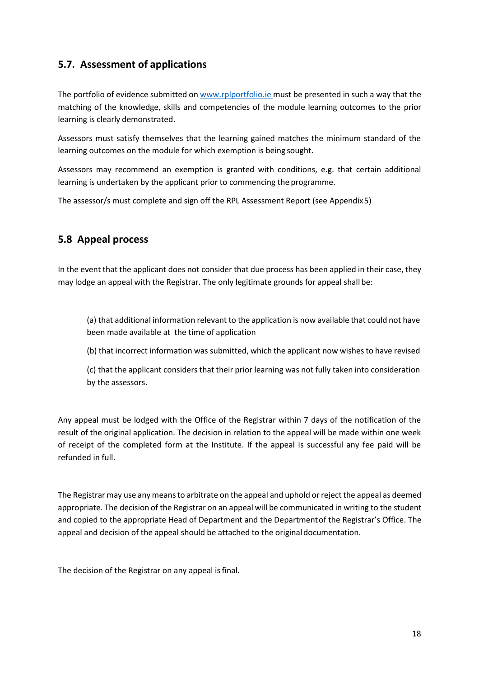## <span id="page-17-0"></span>**5.7. Assessment of applications**

The portfolio of evidence submitted on [www.rplportfolio.ie](http://www.rplportfolio.ie/) must be presented in such a way that the matching of the knowledge, skills and competencies of the module learning outcomes to the prior learning is clearly demonstrated.

Assessors must satisfy themselves that the learning gained matches the minimum standard of the learning outcomes on the module for which exemption is being sought.

Assessors may recommend an exemption is granted with conditions, e.g. that certain additional learning is undertaken by the applicant prior to commencing the programme.

The assessor/s must complete and sign off the RPL Assessment Report (see Appendix5)

## <span id="page-17-1"></span>**5.8 Appeal process**

In the event that the applicant does not consider that due process has been applied in their case, they may lodge an appeal with the Registrar. The only legitimate grounds for appeal shall be:

(a) that additional information relevant to the application is now available that could not have been made available at the time of application

(b) that incorrect information was submitted, which the applicant now wishes to have revised

(c) that the applicant considers that their prior learning was not fully taken into consideration by the assessors.

Any appeal must be lodged with the Office of the Registrar within 7 days of the notification of the result of the original application. The decision in relation to the appeal will be made within one week of receipt of the completed form at the Institute. If the appeal is successful any fee paid will be refunded in full.

The Registrar may use any meansto arbitrate on the appeal and uphold orreject the appeal as deemed appropriate. The decision of the Registrar on an appeal will be communicated in writing to the student and copied to the appropriate Head of Department and the Departmentof the Registrar's Office. The appeal and decision of the appeal should be attached to the original documentation.

The decision of the Registrar on any appeal is final.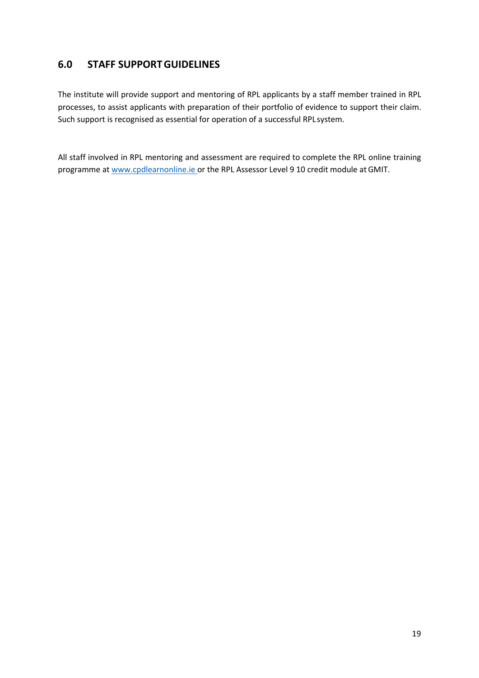## <span id="page-18-0"></span>**6.0 STAFF SUPPORTGUIDELINES**

The institute will provide support and mentoring of RPL applicants by a staff member trained in RPL processes, to assist applicants with preparation of their portfolio of evidence to support their claim. Such support is recognised as essential for operation of a successful RPLsystem.

All staff involved in RPL mentoring and assessment are required to complete the RPL online training programme a[t www.cpdlearnonline.ie o](http://www.cpdlearnonline.ie/)r the RPL Assessor Level 9 10 credit module atGMIT.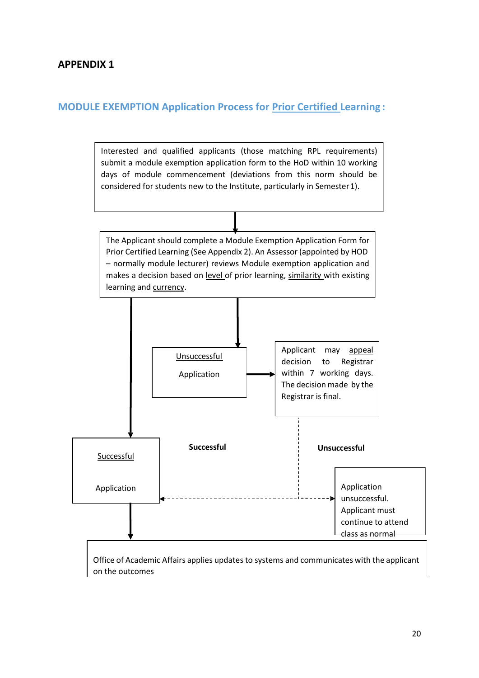## **APPENDIX 1**

## **MODULE EXEMPTION Application Process for Prior Certified Learning :**

Interested and qualified applicants (those matching RPL requirements) submit a module exemption application form to the HoD within 10 working days of module commencement (deviations from this norm should be considered for students new to the Institute, particularly in Semester1).

The Applicant should complete a Module Exemption Application Form for Prior Certified Learning (See Appendix 2). An Assessor(appointed by HOD – normally module lecturer) reviews Module exemption application and makes a decision based on level of prior learning, similarity with existing learning and currency.

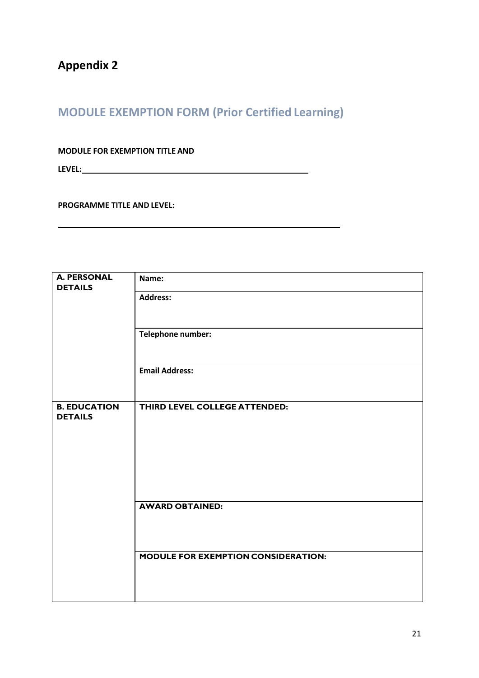## **MODULE EXEMPTION FORM (Prior Certified Learning)**

**MODULE FOR EXEMPTION TITLE AND**

**LEVEL:**

**PROGRAMME TITLE AND LEVEL:**

| <b>A. PERSONAL</b>  | Name:                               |
|---------------------|-------------------------------------|
| <b>DETAILS</b>      | <b>Address:</b>                     |
|                     |                                     |
|                     |                                     |
|                     | Telephone number:                   |
|                     |                                     |
|                     |                                     |
|                     | <b>Email Address:</b>               |
|                     |                                     |
|                     |                                     |
| <b>B. EDUCATION</b> | THIRD LEVEL COLLEGE ATTENDED:       |
| <b>DETAILS</b>      |                                     |
|                     |                                     |
|                     |                                     |
|                     |                                     |
|                     |                                     |
|                     |                                     |
|                     |                                     |
|                     | <b>AWARD OBTAINED:</b>              |
|                     |                                     |
|                     |                                     |
|                     |                                     |
|                     |                                     |
|                     |                                     |
|                     |                                     |
|                     | MODULE FOR EXEMPTION CONSIDERATION: |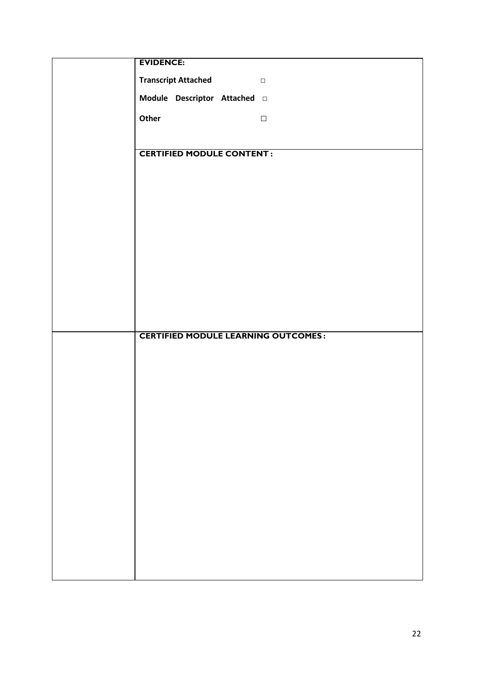| <b>EVIDENCE:</b>                                   |
|----------------------------------------------------|
| <b>Transcript Attached</b><br>$\qquad \qquad \Box$ |
| Module Descriptor Attached a                       |
|                                                    |
| Other<br>$\hfill\square$                           |
|                                                    |
| <b>CERTIFIED MODULE CONTENT:</b>                   |
|                                                    |
|                                                    |
|                                                    |
|                                                    |
|                                                    |
|                                                    |
|                                                    |
|                                                    |
|                                                    |
|                                                    |
| <b>CERTIFIED MODULE LEARNING OUTCOMES:</b>         |
|                                                    |
|                                                    |
|                                                    |
|                                                    |
|                                                    |
|                                                    |
|                                                    |
|                                                    |
|                                                    |
|                                                    |
|                                                    |
|                                                    |
|                                                    |
|                                                    |
|                                                    |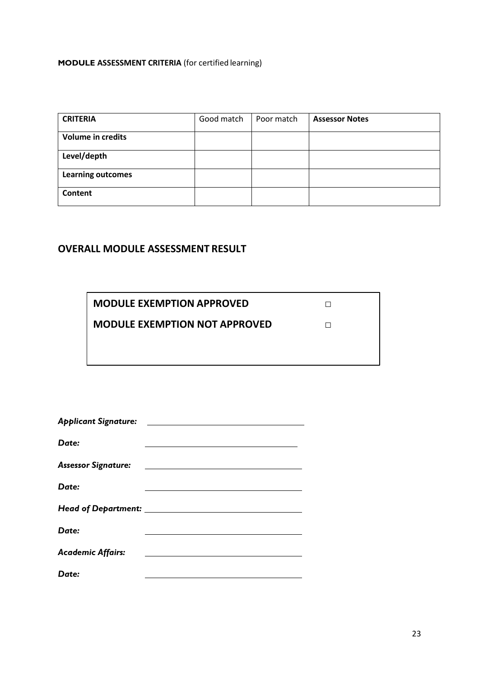#### **MODULE ASSESSMENT CRITERIA** (for certified learning)

| <b>CRITERIA</b>          | Good match | Poor match | <b>Assessor Notes</b> |
|--------------------------|------------|------------|-----------------------|
| <b>Volume in credits</b> |            |            |                       |
| Level/depth              |            |            |                       |
| <b>Learning outcomes</b> |            |            |                       |
| Content                  |            |            |                       |

## **OVERALL MODULE ASSESSMENT RESULT**

**MODULE EXEMPTION APPROVED**

**MODULE EXEMPTION NOT APPROVED**

*□*

□

| <b>Applicant Signature:</b> |  |
|-----------------------------|--|
|                             |  |
| Date:                       |  |
|                             |  |
| <b>Assessor Signature:</b>  |  |
|                             |  |
| Date:                       |  |
|                             |  |
|                             |  |
|                             |  |
| Date:                       |  |
|                             |  |
| <b>Academic Affairs:</b>    |  |
|                             |  |
| Date:                       |  |
|                             |  |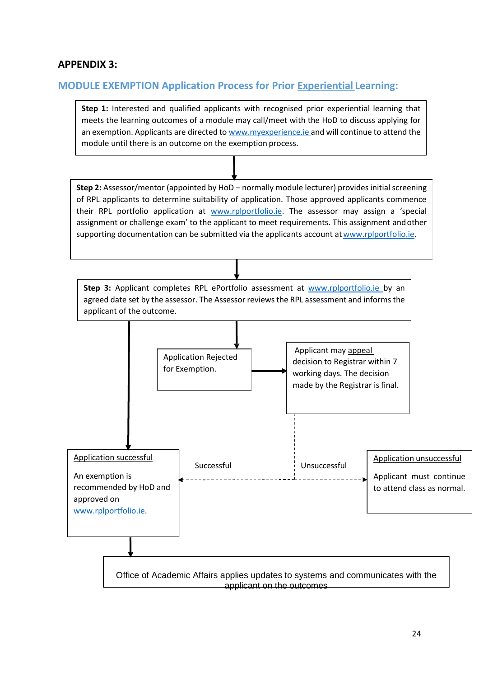## **APPENDIX 3:**

### **MODULE EXEMPTION Application Process for Prior Experiential Learning:**

**Step 1:** Interested and qualified applicants with recognised prior experiential learning that meets the learning outcomes of a module may call/meet with the HoD to discuss applying for an exemption. Applicants are directed to [www.myexperience.ie](http://www.myexperience.ie/) and will continue to attend the module until there is an outcome on the exemption process.

**Step 2:** Assessor/mentor (appointed by HoD – normally module lecturer) provides initial screening of RPL applicants to determine suitability of application. Those approved applicants commence their RPL portfolio application at [www.rplportfolio.ie](http://www.rplportfolio.ie/). The assessor may assign a 'special assignment or challenge exam' to the applicant to meet requirements. This assignment andother supporting documentation can be submitted via the applicants account at [www.rplportfolio.ie.](http://www.rplportfolio.ie/)



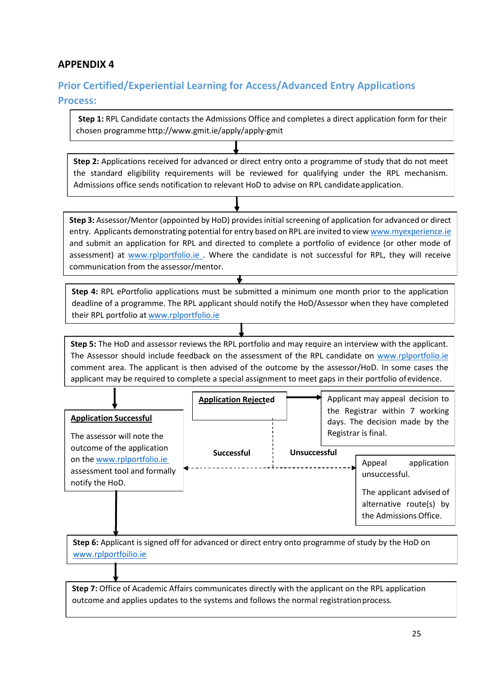## **APPENDIX 4**

## **Prior Certified/Experiential Learning for Access/Advanced Entry Applications**

#### **Process:**

**Step 1:** RPL Candidate contacts the Admissions Office and completes a direct application form for their chosen programme <http://www.gmit.ie/apply/apply-gmit>

**Step 2:** Applications received for advanced or direct entry onto a programme of study that do not meet the standard eligibility requirements will be reviewed for qualifying under the RPL mechanism. Admissions office sends notification to relevant HoD to advise on RPL candidate application.

**Step 3:** Assessor/Mentor (appointed by HoD) provides initial screening of application for advanced or direct entry. Applicants demonstrating potential for entry based on RPL are invited to view [www.myexperience.ie](http://www.myexperience.ie/)  and submit an application for RPL and directed to complete a portfolio of evidence (or other mode of assessment) at [www.rplportfolio.ie .](http://www.rplportfolio.ie/) Where the candidate is not successful for RPL, they will receive communication from the assessor/mentor.

**Step 4:** RPL ePortfolio applications must be submitted a minimum one month prior to the application deadline of a programme. The RPL applicant should notify the HoD/Assessor when they have completed their RPL portfolio at [www.rplportfolio.ie](http://www.myexperience.ie/)

**Step 5:** The HoD and assessor reviews the RPL portfolio and may require an interview with the applicant. The Assessor should include feedback on the assessment of the RPL candidate on www.rplportfolio.ie comment area. The applicant is then advised of the outcome by the assessor/HoD. In some cases the applicant may be required to complete a special assignment to meet gaps in their portfolio ofevidence.

|                                                             | <b>Application Rejected</b> |              | Applicant may appeal decision to                                                        |
|-------------------------------------------------------------|-----------------------------|--------------|-----------------------------------------------------------------------------------------|
| <b>Application Successful</b><br>The assessor will note the |                             |              | the Registrar within 7 working<br>days. The decision made by the<br>Registrar is final. |
| outcome of the application<br>on the www.rplportfolio.ie    | <b>Successful</b>           | Unsuccessful | application<br>Appeal                                                                   |
| assessment tool and formally<br>notify the HoD.             |                             |              | unsuccessful.<br>The applicant advised of                                               |
|                                                             |                             |              | alternative route(s) by<br>the Admissions Office.                                       |

**Step 6:** Applicant is signed off for advanced or direct entry onto programme of study by the HoD on [www.rplportfoilio.ie](http://www.rplportfoilio.ie/)

**Step 7:** Office of Academic Affairs communicates directly with the applicant on the RPL application outcome and applies updates to the systems and follows the normal registrationprocess.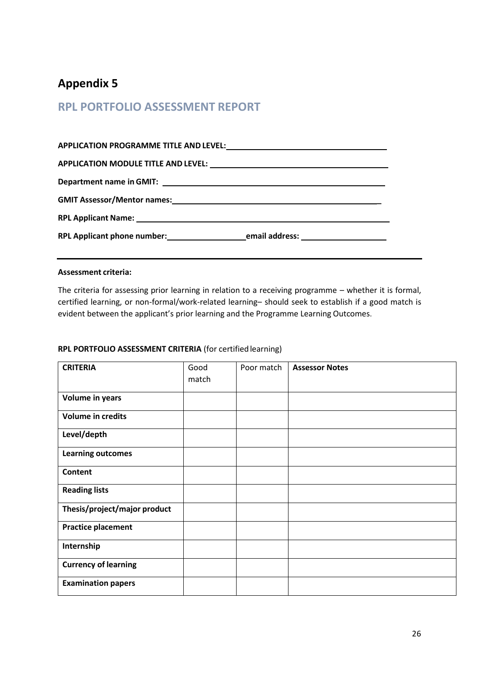## **Appendix 5**

## **RPL PORTFOLIO ASSESSMENT REPORT**

#### **Assessment criteria:**

The criteria for assessing prior learning in relation to a receiving programme – whether it is formal, certified learning, or non-formal/work-related learning– should seek to establish if a good match is evident between the applicant's prior learning and the Programme Learning Outcomes.

| <b>CRITERIA</b>              | Good<br>match | Poor match | <b>Assessor Notes</b> |
|------------------------------|---------------|------------|-----------------------|
| Volume in years              |               |            |                       |
| <b>Volume in credits</b>     |               |            |                       |
| Level/depth                  |               |            |                       |
| <b>Learning outcomes</b>     |               |            |                       |
| <b>Content</b>               |               |            |                       |
| <b>Reading lists</b>         |               |            |                       |
| Thesis/project/major product |               |            |                       |
| <b>Practice placement</b>    |               |            |                       |
| Internship                   |               |            |                       |
| <b>Currency of learning</b>  |               |            |                       |
| <b>Examination papers</b>    |               |            |                       |

#### **RPL PORTFOLIO ASSESSMENT CRITERIA** (for certified learning)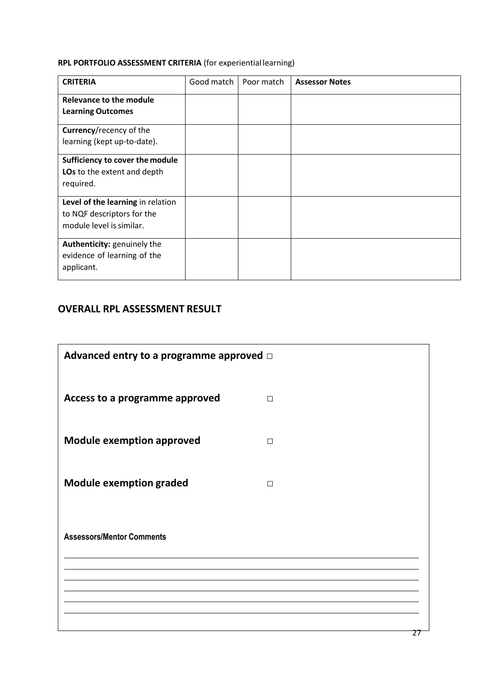## **RPL PORTFOLIO ASSESSMENT CRITERIA** (for experiential learning)

| <b>CRITERIA</b>                                                                             | Good match | Poor match | <b>Assessor Notes</b> |
|---------------------------------------------------------------------------------------------|------------|------------|-----------------------|
| Relevance to the module<br><b>Learning Outcomes</b>                                         |            |            |                       |
| Currency/recency of the                                                                     |            |            |                       |
| learning (kept up-to-date).                                                                 |            |            |                       |
| Sufficiency to cover the module<br>LOs to the extent and depth<br>required.                 |            |            |                       |
| Level of the learning in relation<br>to NQF descriptors for the<br>module level is similar. |            |            |                       |
| Authenticity: genuinely the<br>evidence of learning of the<br>applicant.                    |            |            |                       |

## **OVERALL RPL ASSESSMENT RESULT**

| Advanced entry to a programme approved $\Box$ |        |    |
|-----------------------------------------------|--------|----|
| Access to a programme approved                | $\Box$ |    |
| <b>Module exemption approved</b>              | $\Box$ |    |
| <b>Module exemption graded</b>                | $\Box$ |    |
| <b>Assessors/Mentor Comments</b>              |        |    |
|                                               |        | 27 |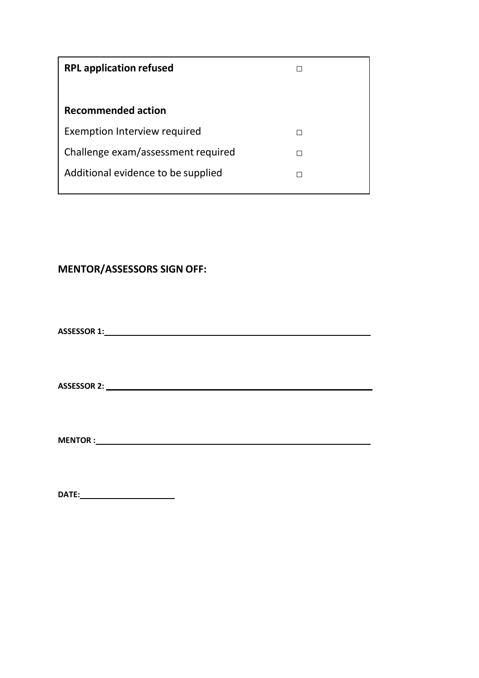| Challenge exam/assessment required |
|------------------------------------|
| Additional evidence to be supplied |
|                                    |

## **MENTOR/ASSESSORS SIGN OFF:**

**ASSESSOR 1:**

**ASSESSOR 2:**

**MENTOR :**

**DATE:**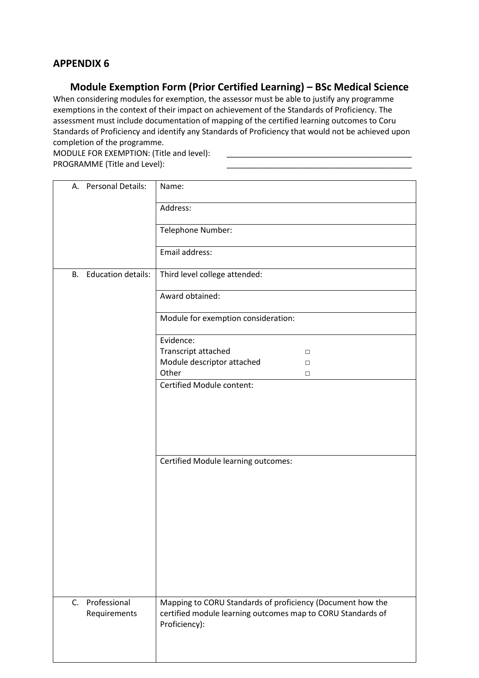## **APPENDIX 6**

## **Module Exemption Form (Prior Certified Learning) – BSc Medical Science**

When considering modules for exemption, the assessor must be able to justify any programme exemptions in the context of their impact on achievement of the Standards of Proficiency. The assessment must include documentation of mapping of the certified learning outcomes to Coru Standards of Proficiency and identify any Standards of Proficiency that would not be achieved upon completion of the programme.

MODULE FOR EXEMPTION: (Title and level): PROGRAMME (Title and Level):

| <b>Personal Details:</b><br>А.          | Name:                                                                                                                                      |
|-----------------------------------------|--------------------------------------------------------------------------------------------------------------------------------------------|
|                                         | Address:                                                                                                                                   |
|                                         | Telephone Number:                                                                                                                          |
|                                         | Email address:                                                                                                                             |
| <b>B.</b> Education details:            | Third level college attended:                                                                                                              |
|                                         | Award obtained:                                                                                                                            |
|                                         | Module for exemption consideration:                                                                                                        |
|                                         | Evidence:                                                                                                                                  |
|                                         | Transcript attached<br>$\Box$                                                                                                              |
|                                         | Module descriptor attached<br>$\Box$                                                                                                       |
|                                         | Other<br>$\Box$                                                                                                                            |
|                                         | <b>Certified Module content:</b>                                                                                                           |
|                                         |                                                                                                                                            |
|                                         | Certified Module learning outcomes:                                                                                                        |
|                                         |                                                                                                                                            |
|                                         |                                                                                                                                            |
|                                         |                                                                                                                                            |
| Professional<br>$C_{1}$<br>Requirements | Mapping to CORU Standards of proficiency (Document how the<br>certified module learning outcomes map to CORU Standards of<br>Proficiency): |
|                                         |                                                                                                                                            |